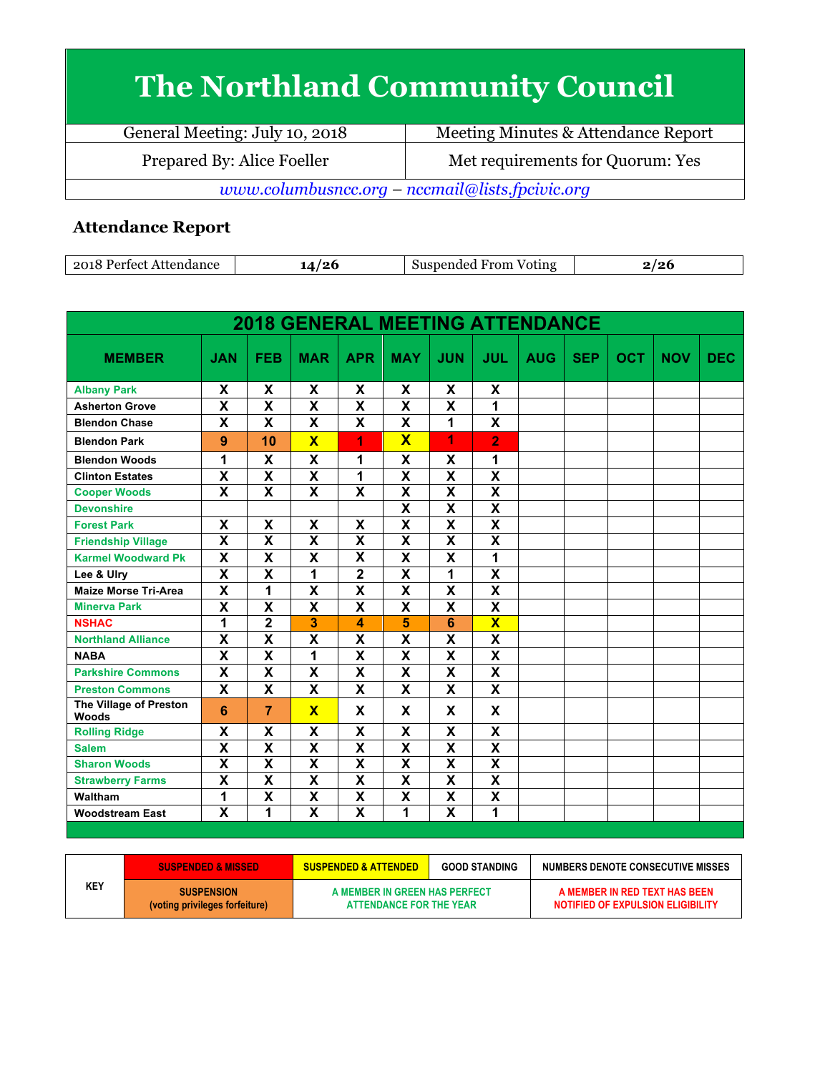## **The Northland Community Council**

| General Meeting: July 10, 2018                  | Meeting Minutes & Attendance Report |  |  |  |
|-------------------------------------------------|-------------------------------------|--|--|--|
| Prepared By: Alice Foeller                      | Met requirements for Quorum: Yes    |  |  |  |
| www.columbusncc.org – nccmail@lists.fpcivic.org |                                     |  |  |  |

## **Attendance Report**

| .<br>റ്റ<br>Attendance<br>$. \triangle \alpha$ | $\sim$ | $ -$<br>From<br>Voting<br>adec.<br>ıю | <i>'</i> ^<br>.<br>. . |
|------------------------------------------------|--------|---------------------------------------|------------------------|

| <b>2018 GENERAL MEETING ATTENDANCE</b> |                           |                         |                           |                           |                           |                           |                         |            |            |            |            |            |
|----------------------------------------|---------------------------|-------------------------|---------------------------|---------------------------|---------------------------|---------------------------|-------------------------|------------|------------|------------|------------|------------|
| <b>MEMBER</b>                          | <b>JAN</b>                | <b>FEB</b>              | <b>MAR</b>                | <b>APR</b>                | <b>MAY</b>                | <b>JUN</b>                | <b>JUL</b>              | <b>AUG</b> | <b>SEP</b> | <b>OCT</b> | <b>NOV</b> | <b>DEC</b> |
| <b>Albany Park</b>                     | X                         | X                       | X                         | X                         | X                         | X                         | X                       |            |            |            |            |            |
| <b>Asherton Grove</b>                  | $\overline{\mathbf{X}}$   | $\overline{\mathsf{x}}$ | $\overline{\mathsf{x}}$   | $\overline{\mathbf{x}}$   | $\overline{\mathbf{X}}$   | $\overline{\mathsf{x}}$   | $\overline{1}$          |            |            |            |            |            |
| <b>Blendon Chase</b>                   | X                         | X                       | $\mathbf x$               | $\mathbf x$               | $\mathbf x$               | 1                         | X                       |            |            |            |            |            |
| <b>Blendon Park</b>                    | 9                         | 10                      | $\overline{\mathbf{X}}$   | 1                         | $\overline{\mathbf{X}}$   | 1                         | $\overline{2}$          |            |            |            |            |            |
| <b>Blendon Woods</b>                   | 1                         | X                       | X                         | 1                         | X                         | X                         | 1                       |            |            |            |            |            |
| <b>Clinton Estates</b>                 | $\overline{\mathbf{x}}$   | $\overline{\mathsf{x}}$ | $\overline{\mathsf{x}}$   | $\overline{1}$            | $\overline{\mathsf{x}}$   | $\overline{\mathsf{x}}$   | $\overline{\mathsf{x}}$ |            |            |            |            |            |
| <b>Cooper Woods</b>                    | $\overline{\mathbf{x}}$   | $\overline{\mathsf{x}}$ | $\overline{\mathbf{x}}$   | $\overline{\mathbf{x}}$   | $\overline{\mathbf{X}}$   | $\overline{\mathbf{X}}$   | $\overline{\mathbf{x}}$ |            |            |            |            |            |
| <b>Devonshire</b>                      |                           |                         |                           |                           | $\overline{\mathsf{x}}$   | $\overline{\mathsf{x}}$   | $\overline{\mathsf{x}}$ |            |            |            |            |            |
| <b>Forest Park</b>                     | X                         | X                       | X                         | X                         | $\overline{\mathsf{x}}$   | $\overline{\mathsf{x}}$   | $\overline{\mathsf{x}}$ |            |            |            |            |            |
| <b>Friendship Village</b>              | $\boldsymbol{\mathsf{x}}$ | X                       | X                         | $\boldsymbol{\mathsf{x}}$ | X                         | X                         | X                       |            |            |            |            |            |
| <b>Karmel Woodward Pk</b>              | X                         | X                       | X                         | $\overline{\mathbf{x}}$   | X                         | X                         | 1                       |            |            |            |            |            |
| Lee & Ulry                             | $\overline{\mathbf{x}}$   | $\overline{\mathsf{x}}$ | 1                         | $\mathbf 2$               | $\overline{\mathsf{x}}$   | 1                         | $\overline{\mathsf{x}}$ |            |            |            |            |            |
| <b>Maize Morse Tri-Area</b>            | $\boldsymbol{\mathsf{x}}$ | 1                       | $\boldsymbol{\mathsf{X}}$ | $\boldsymbol{\mathsf{x}}$ | X                         | $\boldsymbol{\mathsf{x}}$ | X                       |            |            |            |            |            |
| <b>Minerva Park</b>                    | $\overline{\mathbf{x}}$   | $\overline{\mathsf{x}}$ | $\overline{\mathbf{x}}$   | $\overline{\mathbf{x}}$   | $\overline{\mathsf{x}}$   | $\overline{\mathsf{x}}$   | $\overline{\mathsf{x}}$ |            |            |            |            |            |
| <b>NSHAC</b>                           | 1                         | $\overline{2}$          | 3                         | 4                         | 5                         | 6                         | $\overline{\mathbf{X}}$ |            |            |            |            |            |
| <b>Northland Alliance</b>              | $\boldsymbol{\mathsf{x}}$ | X                       | X                         | $\boldsymbol{\mathsf{x}}$ | $\boldsymbol{\mathsf{X}}$ | X                         | X                       |            |            |            |            |            |
| <b>NABA</b>                            | $\overline{\mathbf{x}}$   | $\overline{\mathsf{x}}$ | $\overline{1}$            | $\overline{\mathbf{x}}$   | $\overline{\mathsf{x}}$   | $\overline{\mathsf{x}}$   | $\overline{\mathsf{x}}$ |            |            |            |            |            |
| <b>Parkshire Commons</b>               | $\boldsymbol{\mathsf{x}}$ | X                       | X                         | $\boldsymbol{\mathsf{X}}$ | $\boldsymbol{\mathsf{X}}$ | X                         | X                       |            |            |            |            |            |
| <b>Preston Commons</b>                 | $\overline{\mathbf{x}}$   | X                       | $\overline{\mathbf{x}}$   | $\mathbf{x}$              | $\overline{\mathbf{x}}$   | $\mathbf{x}$              | $\mathbf{x}$            |            |            |            |            |            |
| The Village of Preston<br><b>Woods</b> | 6                         | $\overline{7}$          | $\overline{\mathbf{x}}$   | X                         | X                         | X                         | X                       |            |            |            |            |            |
| <b>Rolling Ridge</b>                   | X                         | X                       | X                         | X                         | X                         | X                         | X                       |            |            |            |            |            |
| <b>Salem</b>                           | $\overline{\mathbf{X}}$   | $\overline{\mathsf{x}}$ | $\overline{\mathsf{x}}$   | $\overline{\mathbf{x}}$   | $\overline{\mathbf{x}}$   | $\overline{\mathsf{x}}$   | $\overline{\mathsf{x}}$ |            |            |            |            |            |
| <b>Sharon Woods</b>                    | $\overline{\mathbf{x}}$   | $\overline{\mathsf{x}}$ | $\overline{\mathsf{x}}$   | X                         | $\overline{\mathbf{x}}$   | $\overline{\mathsf{x}}$   | $\overline{\mathsf{x}}$ |            |            |            |            |            |
| <b>Strawberry Farms</b>                | $\overline{\mathbf{x}}$   | $\overline{\mathsf{x}}$ | $\overline{\mathsf{x}}$   | $\overline{\mathbf{x}}$   | $\overline{\mathbf{x}}$   | $\overline{\mathsf{x}}$   | $\overline{\mathsf{x}}$ |            |            |            |            |            |
| Waltham                                | 1                         | X                       | X                         | $\boldsymbol{\mathsf{x}}$ | $\boldsymbol{\mathsf{X}}$ | X                         | X                       |            |            |            |            |            |
| <b>Woodstream East</b>                 | $\overline{\mathbf{x}}$   | 1                       | $\overline{\mathsf{x}}$   | X                         | 1                         | $\overline{\mathsf{x}}$   | 1                       |            |            |            |            |            |

|     | <b>SUSPENDED &amp; MISSED</b>                       | <b>SUSPENDED &amp; ATTENDED</b>                          | <b>GOOD STANDING</b> | NUMBERS DENOTE CONSECUTIVE MISSES                                  |
|-----|-----------------------------------------------------|----------------------------------------------------------|----------------------|--------------------------------------------------------------------|
| KEY | <b>SUSPENSION</b><br>(voting privileges forfeiture) | A MEMBER IN GREEN HAS PERFECT<br>ATTENDANCE FOR THE YEAR |                      | A MEMBER IN RED TEXT HAS BEEN<br>NOTIFIED OF EXPULSION ELIGIBILITY |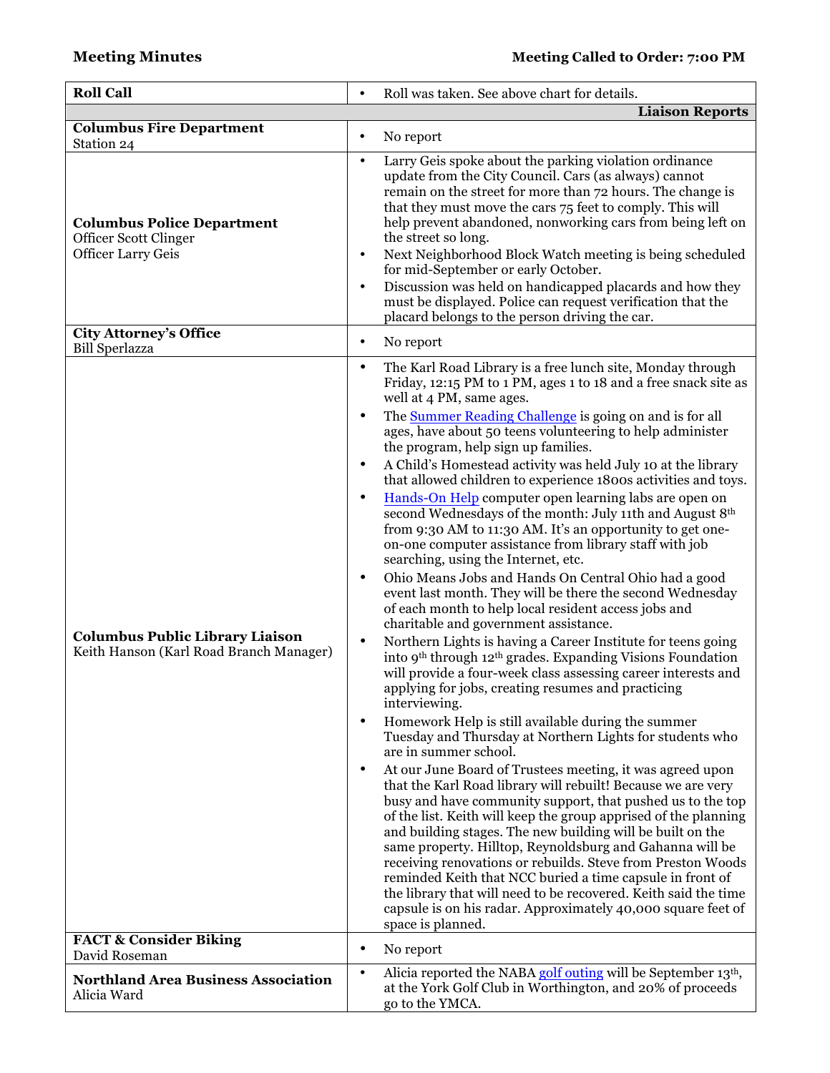| <b>Roll Call</b>                                                                        | Roll was taken. See above chart for details.<br>$\bullet$                                                                                                                                                                                                                                                                                                                                                                                                                                                                                                                                                                                                                                                                                                                                                                                                                                                                                                                                                                                                                                                                                                                                                                                                                                                                                                                                                                                                                                                                                                                                                                                                                                                                                                                                                                                                                                                                                                                                                                                                                                                                                                |
|-----------------------------------------------------------------------------------------|----------------------------------------------------------------------------------------------------------------------------------------------------------------------------------------------------------------------------------------------------------------------------------------------------------------------------------------------------------------------------------------------------------------------------------------------------------------------------------------------------------------------------------------------------------------------------------------------------------------------------------------------------------------------------------------------------------------------------------------------------------------------------------------------------------------------------------------------------------------------------------------------------------------------------------------------------------------------------------------------------------------------------------------------------------------------------------------------------------------------------------------------------------------------------------------------------------------------------------------------------------------------------------------------------------------------------------------------------------------------------------------------------------------------------------------------------------------------------------------------------------------------------------------------------------------------------------------------------------------------------------------------------------------------------------------------------------------------------------------------------------------------------------------------------------------------------------------------------------------------------------------------------------------------------------------------------------------------------------------------------------------------------------------------------------------------------------------------------------------------------------------------------------|
|                                                                                         | <b>Liaison Reports</b>                                                                                                                                                                                                                                                                                                                                                                                                                                                                                                                                                                                                                                                                                                                                                                                                                                                                                                                                                                                                                                                                                                                                                                                                                                                                                                                                                                                                                                                                                                                                                                                                                                                                                                                                                                                                                                                                                                                                                                                                                                                                                                                                   |
| <b>Columbus Fire Department</b><br>Station 24                                           | No report<br>$\bullet$                                                                                                                                                                                                                                                                                                                                                                                                                                                                                                                                                                                                                                                                                                                                                                                                                                                                                                                                                                                                                                                                                                                                                                                                                                                                                                                                                                                                                                                                                                                                                                                                                                                                                                                                                                                                                                                                                                                                                                                                                                                                                                                                   |
| <b>Columbus Police Department</b><br>Officer Scott Clinger<br><b>Officer Larry Geis</b> | Larry Geis spoke about the parking violation ordinance<br>٠<br>update from the City Council. Cars (as always) cannot<br>remain on the street for more than 72 hours. The change is<br>that they must move the cars 75 feet to comply. This will<br>help prevent abandoned, nonworking cars from being left on<br>the street so long.<br>Next Neighborhood Block Watch meeting is being scheduled<br>$\bullet$<br>for mid-September or early October.<br>Discussion was held on handicapped placards and how they<br>$\bullet$<br>must be displayed. Police can request verification that the<br>placard belongs to the person driving the car.                                                                                                                                                                                                                                                                                                                                                                                                                                                                                                                                                                                                                                                                                                                                                                                                                                                                                                                                                                                                                                                                                                                                                                                                                                                                                                                                                                                                                                                                                                           |
| <b>City Attorney's Office</b><br><b>Bill Sperlazza</b>                                  | No report<br>$\bullet$                                                                                                                                                                                                                                                                                                                                                                                                                                                                                                                                                                                                                                                                                                                                                                                                                                                                                                                                                                                                                                                                                                                                                                                                                                                                                                                                                                                                                                                                                                                                                                                                                                                                                                                                                                                                                                                                                                                                                                                                                                                                                                                                   |
| <b>Columbus Public Library Liaison</b><br>Keith Hanson (Karl Road Branch Manager)       | The Karl Road Library is a free lunch site, Monday through<br>$\bullet$<br>Friday, 12:15 PM to 1 PM, ages 1 to 18 and a free snack site as<br>well at 4 PM, same ages.<br>The Summer Reading Challenge is going on and is for all<br>$\bullet$<br>ages, have about 50 teens volunteering to help administer<br>the program, help sign up families.<br>A Child's Homestead activity was held July 10 at the library<br>$\bullet$<br>that allowed children to experience 1800s activities and toys.<br>Hands-On Help computer open learning labs are open on<br>$\bullet$<br>second Wednesdays of the month: July 11th and August 8th<br>from 9:30 AM to 11:30 AM. It's an opportunity to get one-<br>on-one computer assistance from library staff with job<br>searching, using the Internet, etc.<br>Ohio Means Jobs and Hands On Central Ohio had a good<br>$\bullet$<br>event last month. They will be there the second Wednesday<br>of each month to help local resident access jobs and<br>charitable and government assistance.<br>Northern Lights is having a Career Institute for teens going<br>$\bullet$<br>into 9th through 12th grades. Expanding Visions Foundation<br>will provide a four-week class assessing career interests and<br>applying for jobs, creating resumes and practicing<br>interviewing.<br>Homework Help is still available during the summer<br>٠<br>Tuesday and Thursday at Northern Lights for students who<br>are in summer school.<br>At our June Board of Trustees meeting, it was agreed upon<br>٠<br>that the Karl Road library will rebuilt! Because we are very<br>busy and have community support, that pushed us to the top<br>of the list. Keith will keep the group apprised of the planning<br>and building stages. The new building will be built on the<br>same property. Hilltop, Reynoldsburg and Gahanna will be<br>receiving renovations or rebuilds. Steve from Preston Woods<br>reminded Keith that NCC buried a time capsule in front of<br>the library that will need to be recovered. Keith said the time<br>capsule is on his radar. Approximately 40,000 square feet of<br>space is planned. |
| <b>FACT &amp; Consider Biking</b><br>David Roseman                                      | No report<br>٠                                                                                                                                                                                                                                                                                                                                                                                                                                                                                                                                                                                                                                                                                                                                                                                                                                                                                                                                                                                                                                                                                                                                                                                                                                                                                                                                                                                                                                                                                                                                                                                                                                                                                                                                                                                                                                                                                                                                                                                                                                                                                                                                           |
| <b>Northland Area Business Association</b><br>Alicia Ward                               | Alicia reported the NABA golf outing will be September 13th,<br>$\bullet$<br>at the York Golf Club in Worthington, and 20% of proceeds<br>go to the YMCA.                                                                                                                                                                                                                                                                                                                                                                                                                                                                                                                                                                                                                                                                                                                                                                                                                                                                                                                                                                                                                                                                                                                                                                                                                                                                                                                                                                                                                                                                                                                                                                                                                                                                                                                                                                                                                                                                                                                                                                                                |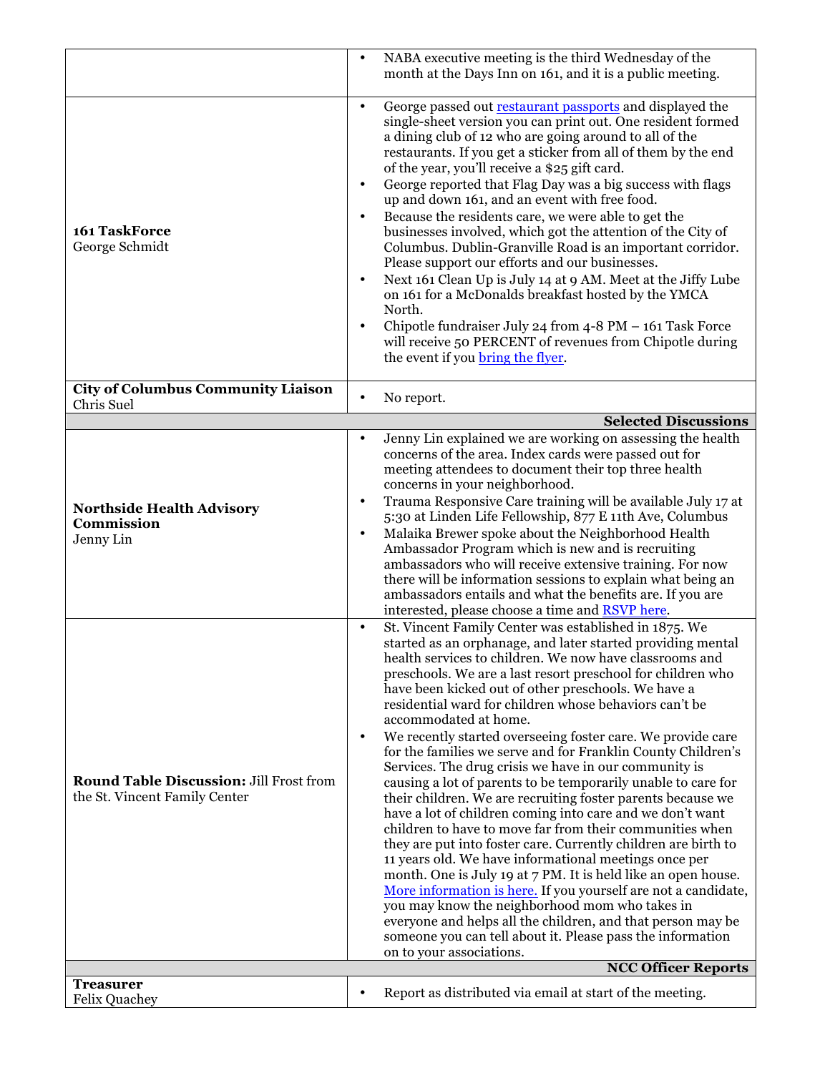|                                                                                 | NABA executive meeting is the third Wednesday of the<br>month at the Days Inn on 161, and it is a public meeting.                                                                                                                                                                                                                                                                                                                                                                                                                                                                                                                                                                                                                                                                                                                                                                                                                                                                                                                                                                                                                                                                                                                                                                                                                            |
|---------------------------------------------------------------------------------|----------------------------------------------------------------------------------------------------------------------------------------------------------------------------------------------------------------------------------------------------------------------------------------------------------------------------------------------------------------------------------------------------------------------------------------------------------------------------------------------------------------------------------------------------------------------------------------------------------------------------------------------------------------------------------------------------------------------------------------------------------------------------------------------------------------------------------------------------------------------------------------------------------------------------------------------------------------------------------------------------------------------------------------------------------------------------------------------------------------------------------------------------------------------------------------------------------------------------------------------------------------------------------------------------------------------------------------------|
| 161 TaskForce<br>George Schmidt                                                 | George passed out restaurant passports and displayed the<br>$\bullet$<br>single-sheet version you can print out. One resident formed<br>a dining club of 12 who are going around to all of the<br>restaurants. If you get a sticker from all of them by the end<br>of the year, you'll receive a \$25 gift card.<br>George reported that Flag Day was a big success with flags<br>$\bullet$<br>up and down 161, and an event with free food.<br>Because the residents care, we were able to get the<br>$\bullet$<br>businesses involved, which got the attention of the City of<br>Columbus. Dublin-Granville Road is an important corridor.<br>Please support our efforts and our businesses.<br>Next 161 Clean Up is July 14 at 9 AM. Meet at the Jiffy Lube<br>$\bullet$<br>on 161 for a McDonalds breakfast hosted by the YMCA<br>North.<br>Chipotle fundraiser July 24 from 4-8 PM - 161 Task Force<br>will receive 50 PERCENT of revenues from Chipotle during<br>the event if you bring the flyer.                                                                                                                                                                                                                                                                                                                                    |
| <b>City of Columbus Community Liaison</b><br>Chris Suel                         | No report.<br>$\bullet$                                                                                                                                                                                                                                                                                                                                                                                                                                                                                                                                                                                                                                                                                                                                                                                                                                                                                                                                                                                                                                                                                                                                                                                                                                                                                                                      |
|                                                                                 | <b>Selected Discussions</b>                                                                                                                                                                                                                                                                                                                                                                                                                                                                                                                                                                                                                                                                                                                                                                                                                                                                                                                                                                                                                                                                                                                                                                                                                                                                                                                  |
| <b>Northside Health Advisory</b><br>Commission<br>Jenny Lin                     | Jenny Lin explained we are working on assessing the health<br>$\bullet$<br>concerns of the area. Index cards were passed out for<br>meeting attendees to document their top three health<br>concerns in your neighborhood.<br>Trauma Responsive Care training will be available July 17 at<br>$\bullet$<br>5:30 at Linden Life Fellowship, 877 E 11th Ave, Columbus<br>Malaika Brewer spoke about the Neighborhood Health<br>$\bullet$<br>Ambassador Program which is new and is recruiting<br>ambassadors who will receive extensive training. For now<br>there will be information sessions to explain what being an<br>ambassadors entails and what the benefits are. If you are<br>interested, please choose a time and <b>RSVP</b> here.                                                                                                                                                                                                                                                                                                                                                                                                                                                                                                                                                                                                |
| <b>Round Table Discussion: Jill Frost from</b><br>the St. Vincent Family Center | St. Vincent Family Center was established in 1875. We<br>$\bullet$<br>started as an orphanage, and later started providing mental<br>health services to children. We now have classrooms and<br>preschools. We are a last resort preschool for children who<br>have been kicked out of other preschools. We have a<br>residential ward for children whose behaviors can't be<br>accommodated at home.<br>We recently started overseeing foster care. We provide care<br>$\bullet$<br>for the families we serve and for Franklin County Children's<br>Services. The drug crisis we have in our community is<br>causing a lot of parents to be temporarily unable to care for<br>their children. We are recruiting foster parents because we<br>have a lot of children coming into care and we don't want<br>children to have to move far from their communities when<br>they are put into foster care. Currently children are birth to<br>11 years old. We have informational meetings once per<br>month. One is July 19 at 7 PM. It is held like an open house.<br>More information is here. If you yourself are not a candidate,<br>you may know the neighborhood mom who takes in<br>everyone and helps all the children, and that person may be<br>someone you can tell about it. Please pass the information<br>on to your associations. |
| <b>Treasurer</b>                                                                | <b>NCC Officer Reports</b>                                                                                                                                                                                                                                                                                                                                                                                                                                                                                                                                                                                                                                                                                                                                                                                                                                                                                                                                                                                                                                                                                                                                                                                                                                                                                                                   |
| <b>Felix Quachey</b>                                                            | Report as distributed via email at start of the meeting.                                                                                                                                                                                                                                                                                                                                                                                                                                                                                                                                                                                                                                                                                                                                                                                                                                                                                                                                                                                                                                                                                                                                                                                                                                                                                     |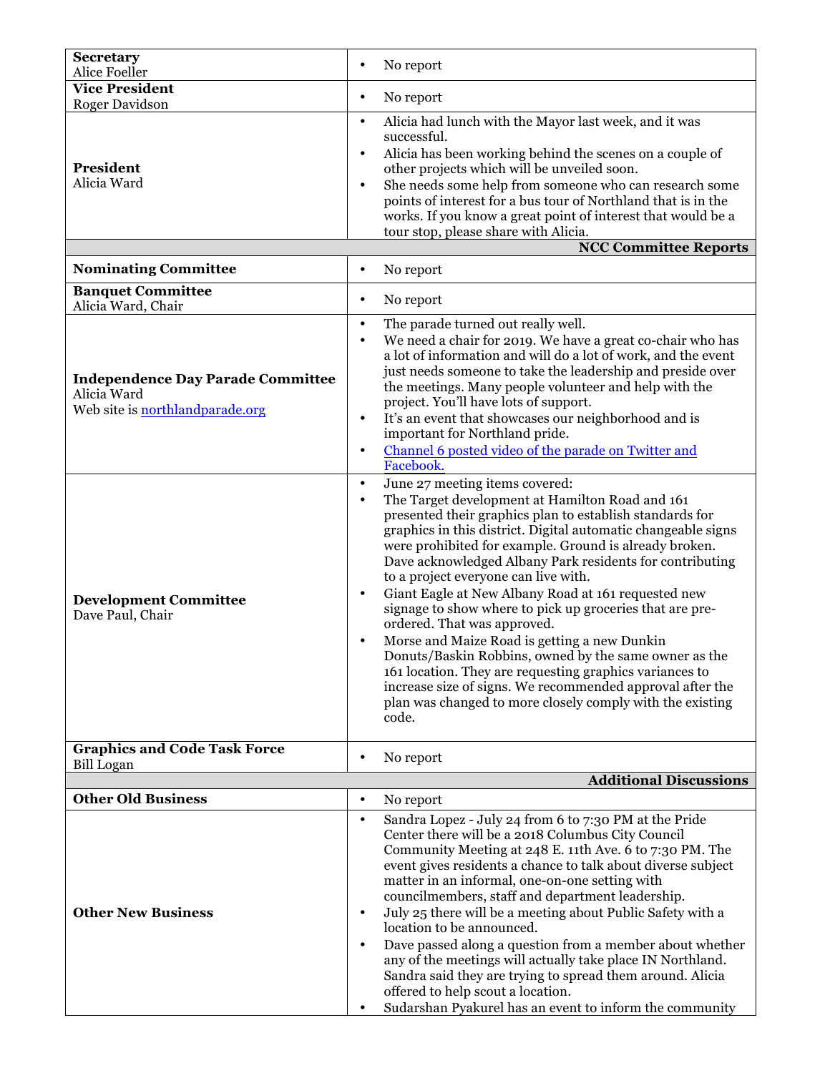| <b>Secretary</b><br>Alice Foeller                                                          | No report<br>$\bullet$                                                                                                                                                                                                                                                                                                                                                                                                                                                                                                                                                                                                                                                                                                                                                                                                                                                       |
|--------------------------------------------------------------------------------------------|------------------------------------------------------------------------------------------------------------------------------------------------------------------------------------------------------------------------------------------------------------------------------------------------------------------------------------------------------------------------------------------------------------------------------------------------------------------------------------------------------------------------------------------------------------------------------------------------------------------------------------------------------------------------------------------------------------------------------------------------------------------------------------------------------------------------------------------------------------------------------|
| <b>Vice President</b>                                                                      |                                                                                                                                                                                                                                                                                                                                                                                                                                                                                                                                                                                                                                                                                                                                                                                                                                                                              |
| <b>Roger Davidson</b>                                                                      | No report<br>$\bullet$                                                                                                                                                                                                                                                                                                                                                                                                                                                                                                                                                                                                                                                                                                                                                                                                                                                       |
| President<br>Alicia Ward                                                                   | Alicia had lunch with the Mayor last week, and it was<br>$\bullet$<br>successful.<br>Alicia has been working behind the scenes on a couple of<br>$\bullet$<br>other projects which will be unveiled soon.<br>She needs some help from someone who can research some<br>$\bullet$<br>points of interest for a bus tour of Northland that is in the<br>works. If you know a great point of interest that would be a<br>tour stop, please share with Alicia.                                                                                                                                                                                                                                                                                                                                                                                                                    |
|                                                                                            | <b>NCC Committee Reports</b>                                                                                                                                                                                                                                                                                                                                                                                                                                                                                                                                                                                                                                                                                                                                                                                                                                                 |
| <b>Nominating Committee</b>                                                                | No report<br>$\bullet$                                                                                                                                                                                                                                                                                                                                                                                                                                                                                                                                                                                                                                                                                                                                                                                                                                                       |
| <b>Banquet Committee</b><br>Alicia Ward, Chair                                             | No report<br>$\bullet$                                                                                                                                                                                                                                                                                                                                                                                                                                                                                                                                                                                                                                                                                                                                                                                                                                                       |
| <b>Independence Day Parade Committee</b><br>Alicia Ward<br>Web site is northlandparade.org | The parade turned out really well.<br>$\bullet$<br>We need a chair for 2019. We have a great co-chair who has<br>$\bullet$<br>a lot of information and will do a lot of work, and the event<br>just needs someone to take the leadership and preside over<br>the meetings. Many people volunteer and help with the<br>project. You'll have lots of support.<br>It's an event that showcases our neighborhood and is<br>$\bullet$<br>important for Northland pride.<br>Channel 6 posted video of the parade on Twitter and<br>$\bullet$<br>Facebook.                                                                                                                                                                                                                                                                                                                          |
| <b>Development Committee</b><br>Dave Paul, Chair                                           | June 27 meeting items covered:<br>$\bullet$<br>The Target development at Hamilton Road and 161<br>$\bullet$<br>presented their graphics plan to establish standards for<br>graphics in this district. Digital automatic changeable signs<br>were prohibited for example. Ground is already broken.<br>Dave acknowledged Albany Park residents for contributing<br>to a project everyone can live with.<br>Giant Eagle at New Albany Road at 161 requested new<br>$\bullet$<br>signage to show where to pick up groceries that are pre-<br>ordered. That was approved.<br>Morse and Maize Road is getting a new Dunkin<br>Donuts/Baskin Robbins, owned by the same owner as the<br>161 location. They are requesting graphics variances to<br>increase size of signs. We recommended approval after the<br>plan was changed to more closely comply with the existing<br>code. |
| <b>Graphics and Code Task Force</b><br>Bill Logan                                          | No report<br>$\bullet$                                                                                                                                                                                                                                                                                                                                                                                                                                                                                                                                                                                                                                                                                                                                                                                                                                                       |
|                                                                                            | <b>Additional Discussions</b>                                                                                                                                                                                                                                                                                                                                                                                                                                                                                                                                                                                                                                                                                                                                                                                                                                                |
| <b>Other Old Business</b>                                                                  | No report<br>$\bullet$                                                                                                                                                                                                                                                                                                                                                                                                                                                                                                                                                                                                                                                                                                                                                                                                                                                       |
| <b>Other New Business</b>                                                                  | Sandra Lopez - July 24 from 6 to 7:30 PM at the Pride<br>$\bullet$<br>Center there will be a 2018 Columbus City Council<br>Community Meeting at 248 E. 11th Ave. 6 to 7:30 PM. The<br>event gives residents a chance to talk about diverse subject<br>matter in an informal, one-on-one setting with<br>councilmembers, staff and department leadership.<br>July 25 there will be a meeting about Public Safety with a<br>$\bullet$<br>location to be announced.<br>Dave passed along a question from a member about whether<br>$\bullet$<br>any of the meetings will actually take place IN Northland.<br>Sandra said they are trying to spread them around. Alicia                                                                                                                                                                                                         |
|                                                                                            | offered to help scout a location.<br>Sudarshan Pyakurel has an event to inform the community                                                                                                                                                                                                                                                                                                                                                                                                                                                                                                                                                                                                                                                                                                                                                                                 |